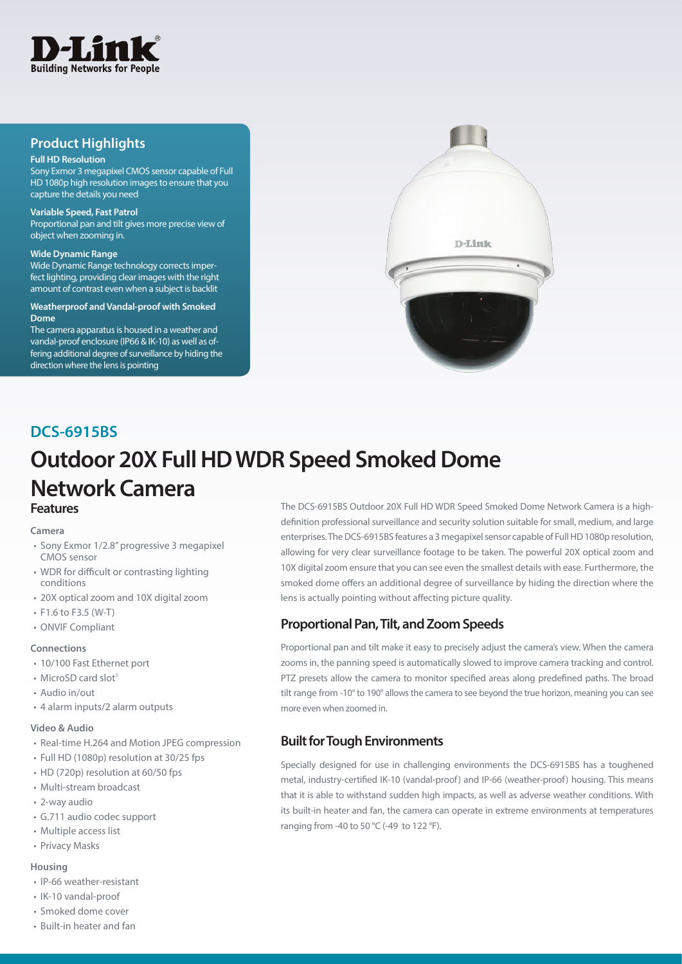

## **Product Highlights**

## **Full HD Resolution**

Sony Exmor 3 megapixel CMOS sensor capable of Full HD 1080p high resolution images to ensure that you capture the details you need

### **Variable Speed, Fast Patrol**

Proportional pan and tilt gives more precise view of object when zooming in.

#### **Wide Dynamic Range**

Wide Dynamic Range technology corrects imperfect lighting, providing clear images with the right amount of contrast even when a subject is backlit

### **Weatherproof and Vandal-proof with Smoked Dome**

The camera apparatus is housed in a weather and vandal-proof enclosure (IP66 & IK-10) as well as offering additional degree of surveillance by hiding the direction where the lens is pointing



# **Outdoor 20X Full HD WDR Speed Smoked Dome Network Camera DCS-6915BS Features**

### **Camera**

- Sony Exmor 1/2.8" progressive 3 megapixel CMOS sensor
- WDR for difficult or contrasting lighting conditions
- 20X optical zoom and 10X digital zoom
- F1.6 to F3.5 (W-T)
- ONVIF Compliant

### **Connections**

- 10/100 Fast Ethernet port
- MicroSD card slot<sup>1</sup>
- Audio in/out
- 4 alarm inputs/2 alarm outputs

### **Video & Audio**

- Real-time H.264 and Motion JPEG compression
- Full HD (1080p) resolution at 30/25 fps
- HD (720p) resolution at 60/50 fps
- Multi-stream broadcast
- 2-way audio
- G.711 audio codec support
- Multiple access list
- Privacy Masks

### **Housing**

- IP-66 weather-resistant
- IK-10 vandal-proof
- Smoked dome cover
- Built-in heater and fan

The DCS-6915BS Outdoor 20X Full HD WDR Speed Smoked Dome Network Camera is a highdefinition professional surveillance and security solution suitable for small, medium, and large enterprises. The DCS-6915BS features a 3 megapixel sensor capable of Full HD 1080p resolution, allowing for very clear surveillance footage to be taken. The powerful 20X optical zoom and 10X digital zoom ensure that you can see even the smallest details with ease. Furthermore, the smoked dome offers an additional degree of surveillance by hiding the direction where the lens is actually pointing without affecting picture quality.

## **Proportional Pan, Tilt, and Zoom Speeds**

Proportional pan and tilt make it easy to precisely adjust the camera's view. When the camera zooms in, the panning speed is automatically slowed to improve camera tracking and control. PTZ presets allow the camera to monitor specified areas along predefined paths. The broad tilt range from -10° to 190° allows the camera to see beyond the true horizon, meaning you can see more even when zoomed in.

## **Built for Tough Environments**

Specially designed for use in challenging environments the DCS-6915BS has a toughened metal, industry-certified IK-10 (vandal-proof) and IP-66 (weather-proof) housing. This means that it is able to withstand sudden high impacts, as well as adverse weather conditions. With its built-in heater and fan, the camera can operate in extreme environments at temperatures ranging from -40 to 50  $^{\circ}$ C (-49 to 122  $^{\circ}$ F).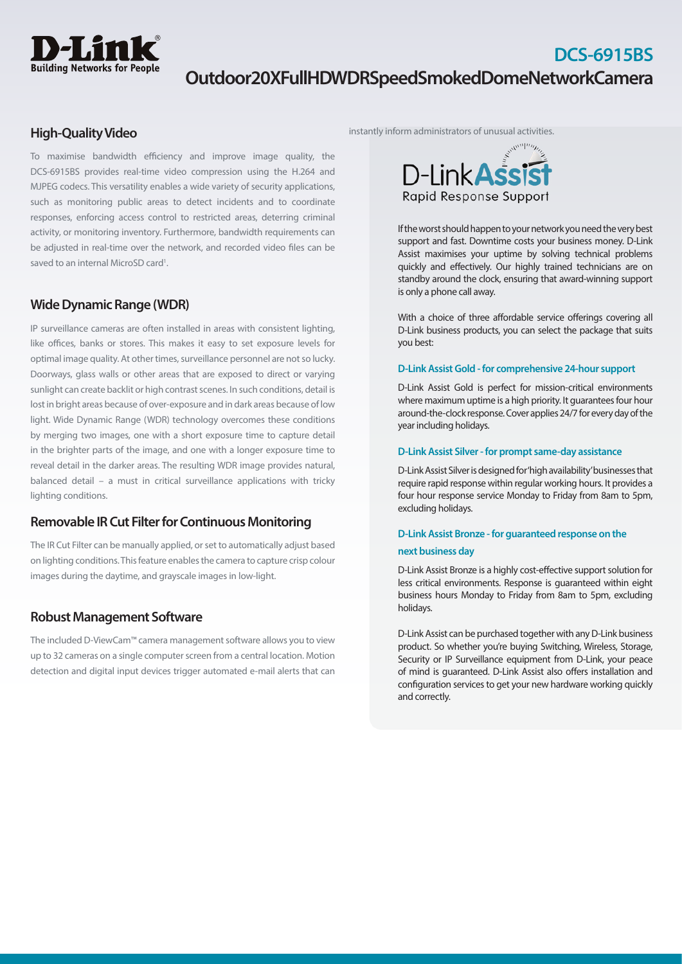

## **DCS-6915BS Outdoor 20X Full HD WDR Speed Smoked Dome Network Camera**

## **High-Quality Video**

To maximise bandwidth efficiency and improve image quality, the DCS-6915BS provides real-time video compression using the H.264 and MJPEG codecs. This versatility enables a wide variety of security applications, such as monitoring public areas to detect incidents and to coordinate responses, enforcing access control to restricted areas, deterring criminal activity, or monitoring inventory. Furthermore, bandwidth requirements can be adjusted in real-time over the network, and recorded video files can be saved to an internal MicroSD card<sup>1</sup>.

## **Wide Dynamic Range (WDR)**

IP surveillance cameras are often installed in areas with consistent lighting, like offices, banks or stores. This makes it easy to set exposure levels for optimal image quality. At other times, surveillance personnel are not so lucky. Doorways, glass walls or other areas that are exposed to direct or varying sunlight can create backlit or high contrast scenes. In such conditions, detail is lost in bright areas because of over-exposure and in dark areas because of low light. Wide Dynamic Range (WDR) technology overcomes these conditions by merging two images, one with a short exposure time to capture detail in the brighter parts of the image, and one with a longer exposure time to reveal detail in the darker areas. The resulting WDR image provides natural, balanced detail – a must in critical surveillance applications with tricky lighting conditions.

## **Removable IR Cut Filter for Continuous Monitoring**

The IR Cut Filter can be manually applied, or set to automatically adjust based on lighting conditions. This feature enables the camera to capture crisp colour images during the daytime, and grayscale images in low-light.

## **Robust Management Software**

The included D-ViewCam™ camera management software allows you to view up to 32 cameras on a single computer screen from a central location. Motion detection and digital input devices trigger automated e-mail alerts that can

instantly inform administrators of unusual activities.



If the worst should happen to your network you need the very best support and fast. Downtime costs your business money. D-Link Assist maximises your uptime by solving technical problems quickly and effectively. Our highly trained technicians are on standby around the clock, ensuring that award-winning support is only a phone call away.

With a choice of three affordable service offerings covering all D-Link business products, you can select the package that suits you best:

### **D-Link Assist Gold - for comprehensive 24-hour support**

D-Link Assist Gold is perfect for mission-critical environments where maximum uptime is a high priority. It guarantees four hour around-the-clock response. Cover applies 24/7 for every day of the year including holidays.

### **D-Link Assist Silver - for prompt same-day assistance**

D-Link Assist Silver is designed for 'high availability' businesses that require rapid response within regular working hours. It provides a four hour response service Monday to Friday from 8am to 5pm, excluding holidays.

## **D-Link Assist Bronze - for guaranteed response on the next business day**

D-Link Assist Bronze is a highly cost-effective support solution for less critical environments. Response is guaranteed within eight business hours Monday to Friday from 8am to 5pm, excluding holidays.

D-Link Assist can be purchased together with any D-Link business product. So whether you're buying Switching, Wireless, Storage, Security or IP Surveillance equipment from D-Link, your peace of mind is guaranteed. D-Link Assist also offers installation and configuration services to get your new hardware working quickly and correctly.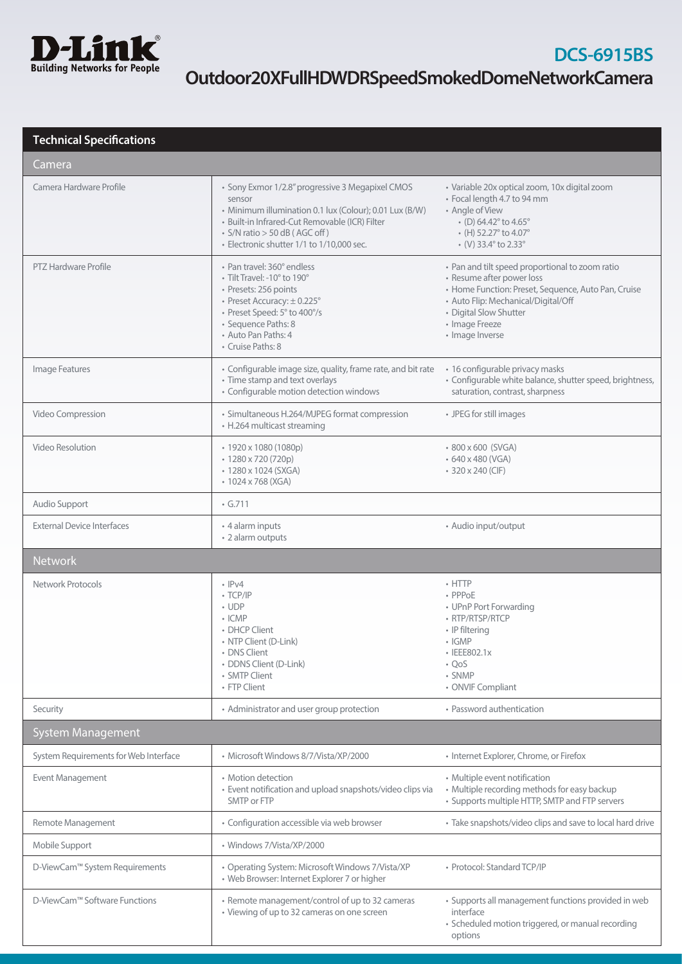

## **Technical Specifications**

| Camera                                |                                                                                                                                                                                                                                                       |                                                                                                                                                                                                                                                     |  |
|---------------------------------------|-------------------------------------------------------------------------------------------------------------------------------------------------------------------------------------------------------------------------------------------------------|-----------------------------------------------------------------------------------------------------------------------------------------------------------------------------------------------------------------------------------------------------|--|
| Camera Hardware Profile               | · Sony Exmor 1/2.8" progressive 3 Megapixel CMOS<br>sensor<br>• Minimum illumination 0.1 lux (Colour); 0.01 Lux (B/W)<br>· Built-in Infrared-Cut Removable (ICR) Filter<br>• S/N ratio > 50 dB (AGC off)<br>• Electronic shutter 1/1 to 1/10,000 sec. | · Variable 20x optical zoom, 10x digital zoom<br>· Focal length 4.7 to 94 mm<br>• Angle of View<br>$\cdot$ (D) 64.42 $\degree$ to 4.65 $\degree$<br>$\bullet$ (H) 52.27 $\degree$ to 4.07 $\degree$<br>$\cdot$ (V) 33.4 $\degree$ to 2.33 $\degree$ |  |
| <b>PTZ Hardware Profile</b>           | • Pan travel: 360° endless<br>• Tilt Travel: -10° to 190°<br>• Presets: 256 points<br>• Preset Accuracy: ±0.225°<br>• Preset Speed: 5° to 400°/s<br>· Sequence Paths: 8<br>• Auto Pan Paths: 4<br>• Cruise Paths: 8                                   | • Pan and tilt speed proportional to zoom ratio<br>• Resume after power loss<br>• Home Function: Preset, Sequence, Auto Pan, Cruise<br>• Auto Flip: Mechanical/Digital/Off<br>• Digital Slow Shutter<br>• Image Freeze<br>• Image Inverse           |  |
| Image Features                        | • Configurable image size, quality, frame rate, and bit rate<br>• Time stamp and text overlays<br>• Configurable motion detection windows                                                                                                             | • 16 configurable privacy masks<br>• Configurable white balance, shutter speed, brightness,<br>saturation, contrast, sharpness                                                                                                                      |  |
| Video Compression                     | • Simultaneous H.264/MJPEG format compression<br>• H.264 multicast streaming                                                                                                                                                                          | • JPEG for still images                                                                                                                                                                                                                             |  |
| Video Resolution                      | • 1920 x 1080 (1080p)<br>• 1280 x 720 (720p)<br>• 1280 x 1024 (SXGA)<br>• 1024 x 768 (XGA)                                                                                                                                                            | • 800 x 600 (SVGA)<br>• 640 x 480 (VGA)<br>• 320 x 240 (CIF)                                                                                                                                                                                        |  |
| Audio Support                         | $\cdot$ G.711                                                                                                                                                                                                                                         |                                                                                                                                                                                                                                                     |  |
| <b>External Device Interfaces</b>     | • 4 alarm inputs<br>• 2 alarm outputs                                                                                                                                                                                                                 | • Audio input/output                                                                                                                                                                                                                                |  |
| <b>Network</b>                        |                                                                                                                                                                                                                                                       |                                                                                                                                                                                                                                                     |  |
| Network Protocols                     | $\cdot$ IPv4<br>$\cdot$ TCP/IP<br>$\cdot$ UDP<br>$\cdot$ ICMP<br>• DHCP Client<br>· NTP Client (D-Link)<br>• DNS Client<br>• DDNS Client (D-Link)<br>• SMTP Client<br>• FTP Client                                                                    | $\cdot$ HTTP<br>• PPPoE<br>• UPnP Port Forwarding<br>• RTP/RTSP/RTCP<br>• IP filtering<br>$\cdot$ IGMP<br>• IEEE802.1x<br>$\cdot$ QoS<br>• SNMP<br>• ONVIF Compliant                                                                                |  |
| Security                              | • Administrator and user group protection                                                                                                                                                                                                             | • Password authentication                                                                                                                                                                                                                           |  |
| System Management                     |                                                                                                                                                                                                                                                       |                                                                                                                                                                                                                                                     |  |
| System Requirements for Web Interface | · Microsoft Windows 8/7/Vista/XP/2000                                                                                                                                                                                                                 | • Internet Explorer, Chrome, or Firefox                                                                                                                                                                                                             |  |
| Event Management                      | • Motion detection<br>· Event notification and upload snapshots/video clips via<br>SMTP or FTP                                                                                                                                                        | • Multiple event notification<br>• Multiple recording methods for easy backup<br>• Supports multiple HTTP, SMTP and FTP servers                                                                                                                     |  |
| Remote Management                     | • Configuration accessible via web browser                                                                                                                                                                                                            | • Take snapshots/video clips and save to local hard drive                                                                                                                                                                                           |  |
| Mobile Support                        | · Windows 7/Vista/XP/2000                                                                                                                                                                                                                             |                                                                                                                                                                                                                                                     |  |
| D-ViewCam™ System Requirements        | • Operating System: Microsoft Windows 7/Vista/XP<br>• Web Browser: Internet Explorer 7 or higher                                                                                                                                                      | · Protocol: Standard TCP/IP                                                                                                                                                                                                                         |  |
| D-ViewCam™ Software Functions         | • Remote management/control of up to 32 cameras                                                                                                                                                                                                       | · Supports all management functions provided in web                                                                                                                                                                                                 |  |